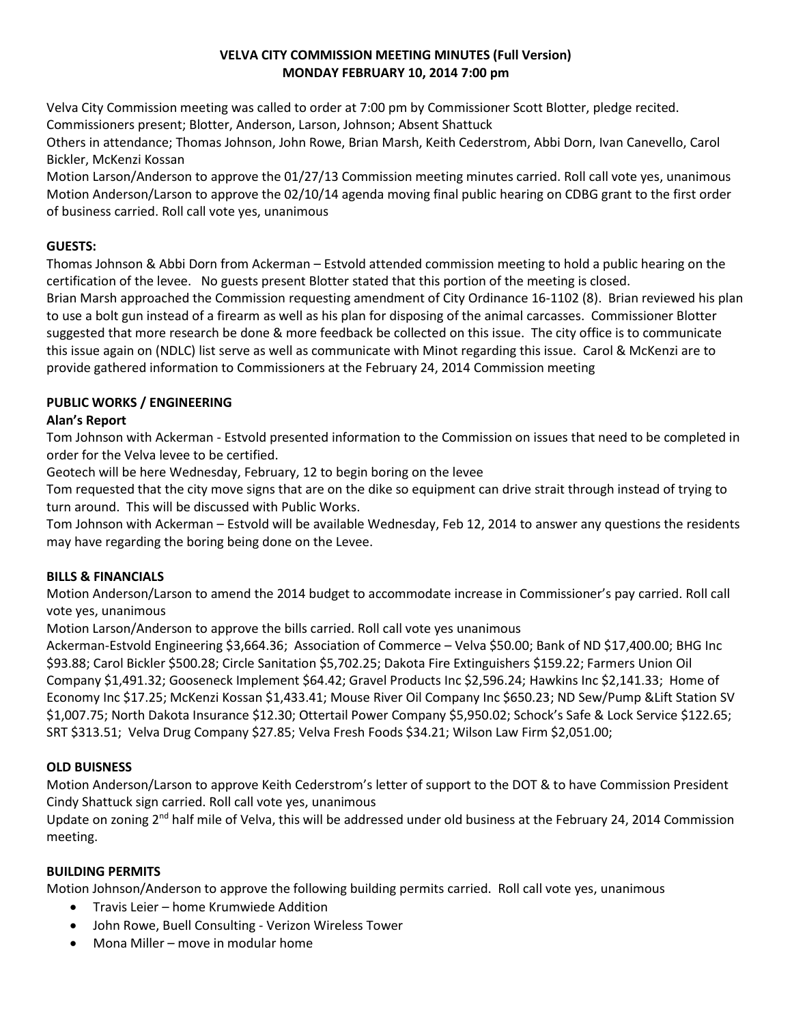### **VELVA CITY COMMISSION MEETING MINUTES (Full Version) MONDAY FEBRUARY 10, 2014 7:00 pm**

Velva City Commission meeting was called to order at 7:00 pm by Commissioner Scott Blotter, pledge recited. Commissioners present; Blotter, Anderson, Larson, Johnson; Absent Shattuck

Others in attendance; Thomas Johnson, John Rowe, Brian Marsh, Keith Cederstrom, Abbi Dorn, Ivan Canevello, Carol Bickler, McKenzi Kossan

Motion Larson/Anderson to approve the 01/27/13 Commission meeting minutes carried. Roll call vote yes, unanimous Motion Anderson/Larson to approve the 02/10/14 agenda moving final public hearing on CDBG grant to the first order of business carried. Roll call vote yes, unanimous

# **GUESTS:**

Thomas Johnson & Abbi Dorn from Ackerman – Estvold attended commission meeting to hold a public hearing on the certification of the levee. No guests present Blotter stated that this portion of the meeting is closed.

Brian Marsh approached the Commission requesting amendment of City Ordinance 16-1102 (8). Brian reviewed his plan to use a bolt gun instead of a firearm as well as his plan for disposing of the animal carcasses. Commissioner Blotter suggested that more research be done & more feedback be collected on this issue. The city office is to communicate this issue again on (NDLC) list serve as well as communicate with Minot regarding this issue. Carol & McKenzi are to provide gathered information to Commissioners at the February 24, 2014 Commission meeting

# **PUBLIC WORKS / ENGINEERING**

# **Alan's Report**

Tom Johnson with Ackerman - Estvold presented information to the Commission on issues that need to be completed in order for the Velva levee to be certified.

Geotech will be here Wednesday, February, 12 to begin boring on the levee

Tom requested that the city move signs that are on the dike so equipment can drive strait through instead of trying to turn around. This will be discussed with Public Works.

Tom Johnson with Ackerman – Estvold will be available Wednesday, Feb 12, 2014 to answer any questions the residents may have regarding the boring being done on the Levee.

## **BILLS & FINANCIALS**

Motion Anderson/Larson to amend the 2014 budget to accommodate increase in Commissioner's pay carried. Roll call vote yes, unanimous

Motion Larson/Anderson to approve the bills carried. Roll call vote yes unanimous

Ackerman-Estvold Engineering \$3,664.36; Association of Commerce – Velva \$50.00; Bank of ND \$17,400.00; BHG Inc \$93.88; Carol Bickler \$500.28; Circle Sanitation \$5,702.25; Dakota Fire Extinguishers \$159.22; Farmers Union Oil Company \$1,491.32; Gooseneck Implement \$64.42; Gravel Products Inc \$2,596.24; Hawkins Inc \$2,141.33; Home of Economy Inc \$17.25; McKenzi Kossan \$1,433.41; Mouse River Oil Company Inc \$650.23; ND Sew/Pump &Lift Station SV \$1,007.75; North Dakota Insurance \$12.30; Ottertail Power Company \$5,950.02; Schock's Safe & Lock Service \$122.65; SRT \$313.51; Velva Drug Company \$27.85; Velva Fresh Foods \$34.21; Wilson Law Firm \$2,051.00;

# **OLD BUISNESS**

Motion Anderson/Larson to approve Keith Cederstrom's letter of support to the DOT & to have Commission President Cindy Shattuck sign carried. Roll call vote yes, unanimous

Update on zoning  $2^{nd}$  half mile of Velva, this will be addressed under old business at the February 24, 2014 Commission meeting.

## **BUILDING PERMITS**

Motion Johnson/Anderson to approve the following building permits carried. Roll call vote yes, unanimous

- Travis Leier home Krumwiede Addition
- John Rowe, Buell Consulting Verizon Wireless Tower
- Mona Miller move in modular home